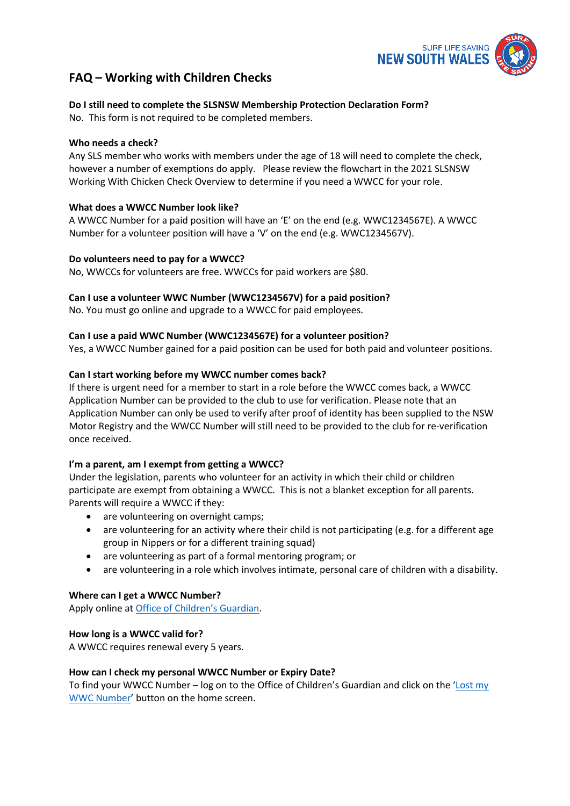

# **FAQ – Working with Children Checks**

## **Do I still need to complete the SLSNSW Membership Protection Declaration Form?**

No. This form is not required to be completed members.

## **Who needs a check?**

Any SLS member who works with members under the age of 18 will need to complete the check, however a number of exemptions do apply. Please review the flowchart in the 2021 SLSNSW Working With Chicken Check Overview to determine if you need a WWCC for your role.

## **What does a WWCC Number look like?**

A WWCC Number for a paid position will have an 'E' on the end (e.g. WWC1234567E). A WWCC Number for a volunteer position will have a 'V' on the end (e.g. WWC1234567V).

## **Do volunteers need to pay for a WWCC?**

No, WWCCs for volunteers are free. WWCCs for paid workers are \$80.

## **Can I use a volunteer WWC Number (WWC1234567V) for a paid position?**

No. You must go online and upgrade to a WWCC for paid employees.

## **Can I use a paid WWC Number (WWC1234567E) for a volunteer position?**

Yes, a WWCC Number gained for a paid position can be used for both paid and volunteer positions.

## **Can I start working before my WWCC number comes back?**

If there is urgent need for a member to start in a role before the WWCC comes back, a WWCC Application Number can be provided to the club to use for verification. Please note that an Application Number can only be used to verify after proof of identity has been supplied to the NSW Motor Registry and the WWCC Number will still need to be provided to the club for re-verification once received.

#### **I'm a parent, am I exempt from getting a WWCC?**

Under the legislation, parents who volunteer for an activity in which their child or children participate are exempt from obtaining a WWCC. This is not a blanket exception for all parents. Parents will require a WWCC if they:

- are volunteering on overnight camps;
- are volunteering for an activity where their child is not participating (e.g. for a different age group in Nippers or for a different training squad)
- are volunteering as part of a formal mentoring program; or
- are volunteering in a role which involves intimate, personal care of children with a disability.

#### **Where can I get a WWCC Number?**

Apply online a[t Office of Children's Guardian.](https://www.kidsguardian.nsw.gov.au/child-safe-organisations/working-with-children-check)

#### **How long is a WWCC valid for?**

A WWCC requires renewal every 5 years.

#### **How can I check my personal WWCC Number or Expiry Date?**

To find your WWCC Number – log on to the Office of Children's Guardian and click on the ['Lost my](https://wwccheck.ccyp.nsw.gov.au/Applicants/Retrieve)  [WWC Number'](https://wwccheck.ccyp.nsw.gov.au/Applicants/Retrieve) button on the home screen.